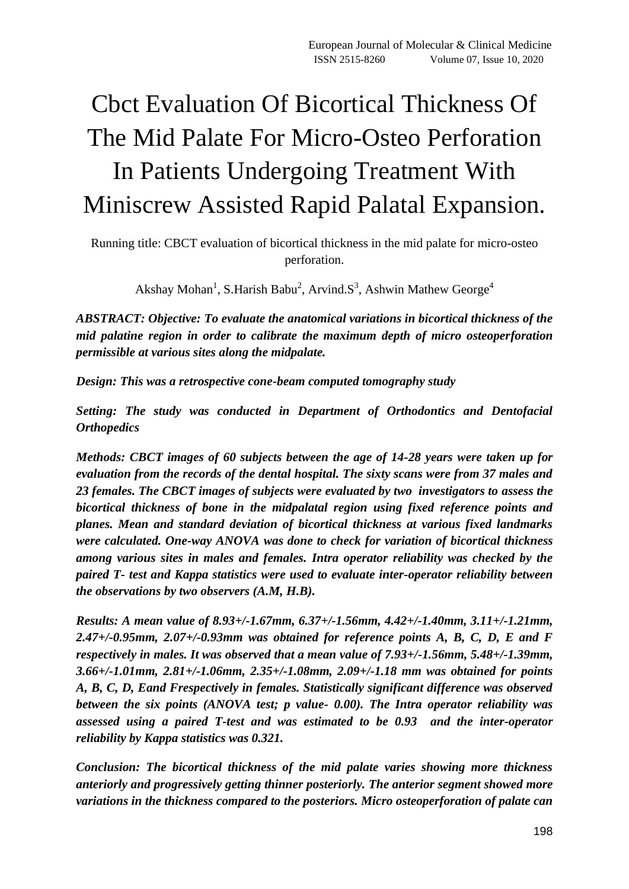# Cbct Evaluation Of Bicortical Thickness Of The Mid Palate For Micro-Osteo Perforation In Patients Undergoing Treatment With Miniscrew Assisted Rapid Palatal Expansion.

Running title: CBCT evaluation of bicortical thickness in the mid palate for micro-osteo perforation.

Akshay Mohan<sup>1</sup>, S.Harish Babu<sup>2</sup>, Arvind.S<sup>3</sup>, Ashwin Mathew George<sup>4</sup>

*ABSTRACT: Objective: To evaluate the anatomical variations in bicortical thickness of the mid palatine region in order to calibrate the maximum depth of micro osteoperforation permissible at various sites along the midpalate.*

*Design: This was a retrospective cone-beam computed tomography study*

*Setting: The study was conducted in Department of Orthodontics and Dentofacial Orthopedics*

*Methods: CBCT images of 60 subjects between the age of 14-28 years were taken up for evaluation from the records of the dental hospital. The sixty scans were from 37 males and 23 females. The CBCT images of subjects were evaluated by two investigators to assess the bicortical thickness of bone in the midpalatal region using fixed reference points and planes. Mean and standard deviation of bicortical thickness at various fixed landmarks were calculated. One-way ANOVA was done to check for variation of bicortical thickness among various sites in males and females. Intra operator reliability was checked by the paired T- test and Kappa statistics were used to evaluate inter-operator reliability between the observations by two observers (A.M, H.B).*

*Results: A mean value of 8.93+/-1.67mm, 6.37+/-1.56mm, 4.42+/-1.40mm, 3.11+/-1.21mm, 2.47+/-0.95mm, 2.07+/-0.93mm was obtained for reference points A, B, C, D, E and F respectively in males. It was observed that a mean value of 7.93+/-1.56mm, 5.48+/-1.39mm, 3.66+/-1.01mm, 2.81+/-1.06mm, 2.35+/-1.08mm, 2.09+/-1.18 mm was obtained for points A, B, C, D, Eand Frespectively in females. Statistically significant difference was observed between the six points (ANOVA test; p value- 0.00). The Intra operator reliability was assessed using a paired T-test and was estimated to be 0.93 and the inter-operator reliability by Kappa statistics was 0.321.*

*Conclusion: The bicortical thickness of the mid palate varies showing more thickness anteriorly and progressively getting thinner posteriorly. The anterior segment showed more variations in the thickness compared to the posteriors. Micro osteoperforation of palate can*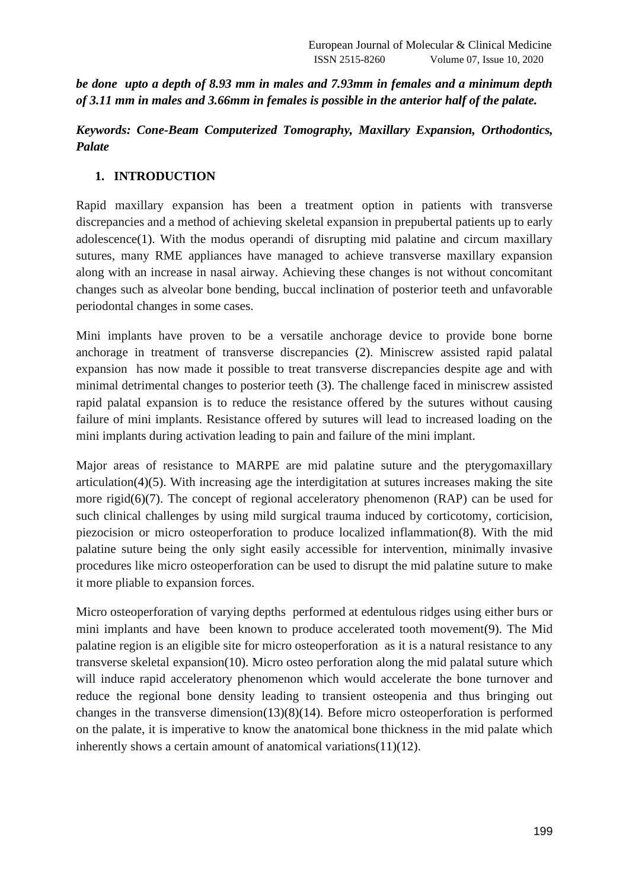*be done upto a depth of 8.93 mm in males and 7.93mm in females and a minimum depth of 3.11 mm in males and 3.66mm in females is possible in the anterior half of the palate.*

## *Keywords: Cone-Beam Computerized Tomography, Maxillary Expansion, [Orthodontics,](https://www.ncbi.nlm.nih.gov/mesh/68009970) Palate*

## **1. INTRODUCTION**

Rapid maxillary expansion has been a treatment option in patients with transverse discrepancies and a method of achieving skeletal expansion in prepubertal patients up to early adolescenc[e\(1\).](https://paperpile.com/c/y0stmb/pa560) With the modus operandi of disrupting mid palatine and circum maxillary sutures, many RME appliances have managed to achieve transverse maxillary expansion along with an increase in nasal airway. Achieving these changes is not without concomitant changes such as alveolar bone bending, buccal inclination of posterior teeth and unfavorable periodontal changes in some cases.

Mini implants have proven to be a versatile anchorage device to provide bone borne anchorage in treatment of transverse discrepancies [\(2\).](https://paperpile.com/c/y0stmb/KzboW) Miniscrew assisted rapid palatal expansion has now made it possible to treat transverse discrepancies despite age and with minimal detrimental changes to posterior teeth [\(3\).](https://paperpile.com/c/y0stmb/4dTAO) The challenge faced in miniscrew assisted rapid palatal expansion is to reduce the resistance offered by the sutures without causing failure of mini implants. Resistance offered by sutures will lead to increased loading on the mini implants during activation leading to pain and failure of the mini implant.

Major areas of resistance to MARPE are mid palatine suture and the pterygomaxillary articulatio[n\(4\)](https://paperpile.com/c/y0stmb/JlqSl)[\(5\).](https://paperpile.com/c/y0stmb/W16uw) With increasing age the interdigitation at sutures increases making the site more rigi[d\(6\)](https://paperpile.com/c/y0stmb/bOmAP)[\(7\).](https://paperpile.com/c/y0stmb/foPBu) The concept of regional acceleratory phenomenon (RAP) can be used for such clinical challenges by using mild surgical trauma induced by corticotomy, corticision, piezocision or micro osteoperforation to produce localized inflammatio[n\(8\).](https://paperpile.com/c/y0stmb/hOGT) With the mid palatine suture being the only sight easily accessible for intervention, minimally invasive procedures like micro osteoperforation can be used to disrupt the mid palatine suture to make it more pliable to expansion forces.

Micro osteoperforation of varying depths performed at edentulous ridges using either burs or mini implants and have been known to produce accelerated tooth movemen[t\(9\).](https://paperpile.com/c/y0stmb/ljG5o) The Mid palatine region is an eligible site for micro osteoperforation as it is a natural resistance to any transverse skeletal expansio[n\(10\).](https://paperpile.com/c/y0stmb/Ob2w) Micro osteo perforation along the mid palatal suture which will induce rapid acceleratory phenomenon which would accelerate the bone turnover and reduce the regional bone density leading to transient osteopenia and thus bringing out changes in the transverse dimensio[n\(13\)](https://paperpile.com/c/y0stmb/R2cW)[\(8\)](https://paperpile.com/c/y0stmb/hOGT)[\(14\).](https://paperpile.com/c/y0stmb/UG9l) Before micro osteoperforation is performed on the palate, it is imperative to know the anatomical bone thickness in the mid palate which inherently shows a certain amount of anatomical variation[s\(11\)](https://paperpile.com/c/y0stmb/nf57)[\(12\).](https://paperpile.com/c/y0stmb/hmXm)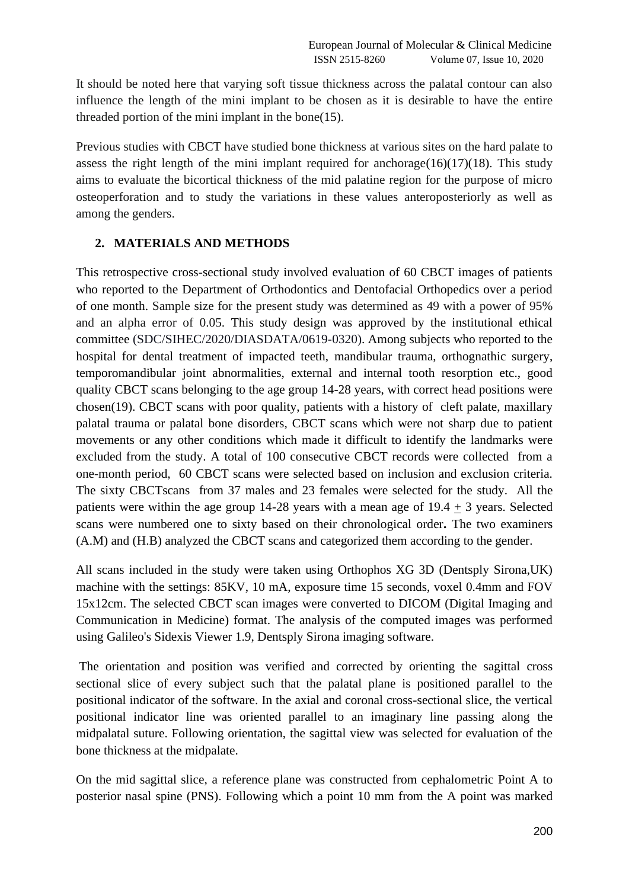It should be noted here that varying soft tissue thickness across the palatal contour can also influence the length of the mini implant to be chosen as it is desirable to have the entire threaded portion of the mini implant in the bon[e\(15\).](https://paperpile.com/c/y0stmb/r3Gp)

Previous studies with CBCT have studied bone thickness at various sites on the hard palate to assess the right length of the mini implant required for anchorage $(16)(17)(18)$  $(16)(17)(18)$  $(16)(17)(18)$ . This study aims to evaluate the bicortical thickness of the mid palatine region for the purpose of micro osteoperforation and to study the variations in these values anteroposteriorly as well as among the genders.

## **2. MATERIALS AND METHODS**

This retrospective cross-sectional study involved evaluation of 60 CBCT images of patients who reported to the Department of Orthodontics and Dentofacial Orthopedics over a period of one month. Sample size for the present study was determined as 49 with a power of 95% and an alpha error of 0.05. This study design was approved by the institutional ethical committee (SDC/SIHEC/2020/DIASDATA/0619-0320). Among subjects who reported to the hospital for dental treatment of impacted teeth, mandibular trauma, orthognathic surgery, temporomandibular joint abnormalities, external and internal tooth resorption etc., good quality CBCT scans belonging to the age group 14-28 years, with correct head positions were chose[n\(19\).](https://paperpile.com/c/y0stmb/Mvq4T) CBCT scans with poor quality, patients with a history of cleft palate, maxillary palatal trauma or palatal bone disorders, CBCT scans which were not sharp due to patient movements or any other conditions which made it difficult to identify the landmarks were excluded from the study. A total of 100 consecutive CBCT records were collected from a one-month period, 60 CBCT scans were selected based on inclusion and exclusion criteria. The sixty CBCTscans from 37 males and 23 females were selected for the study. All the patients were within the age group 14-28 years with a mean age of 19.4 + 3 years. Selected scans were numbered one to sixty based on their chronological order**.** The two examiners (A.M) and (H.B) analyzed the CBCT scans and categorized them according to the gender.

All scans included in the study were taken using Orthophos XG 3D (Dentsply Sirona,UK) machine with the settings: 85KV, 10 mA, exposure time 15 seconds, voxel 0.4mm and FOV 15x12cm. The selected CBCT scan images were converted to DICOM (Digital Imaging and Communication in Medicine) format. The analysis of the computed images was performed using Galileo's Sidexis Viewer 1.9, Dentsply Sirona imaging software.

The orientation and position was verified and corrected by orienting the sagittal cross sectional slice of every subject such that the palatal plane is positioned parallel to the positional indicator of the software. In the axial and coronal cross-sectional slice, the vertical positional indicator line was oriented parallel to an imaginary line passing along the midpalatal suture. Following orientation, the sagittal view was selected for evaluation of the bone thickness at the midpalate.

On the mid sagittal slice, a reference plane was constructed from cephalometric Point A to posterior nasal spine (PNS). Following which a point 10 mm from the A point was marked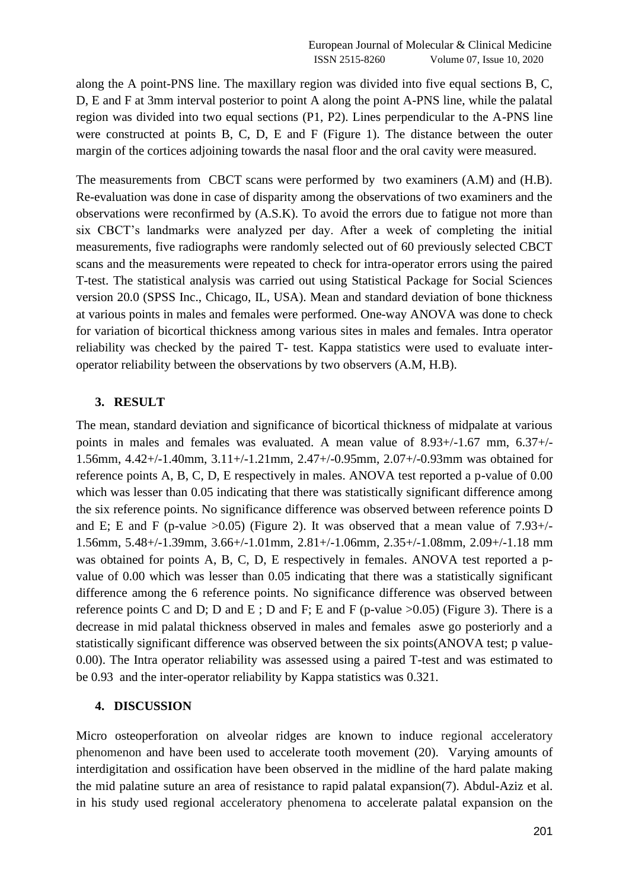along the A point-PNS line. The maxillary region was divided into five equal sections B, C, D, E and F at 3mm interval posterior to point A along the point A-PNS line, while the palatal region was divided into two equal sections (P1, P2). Lines perpendicular to the A-PNS line were constructed at points B, C, D, E and F (Figure 1). The distance between the outer margin of the cortices adjoining towards the nasal floor and the oral cavity were measured.

The measurements from CBCT scans were performed by two examiners (A.M) and (H.B). Re-evaluation was done in case of disparity among the observations of two examiners and the observations were reconfirmed by (A.S.K). To avoid the errors due to fatigue not more than six CBCT's landmarks were analyzed per day. After a week of completing the initial measurements, five radiographs were randomly selected out of 60 previously selected CBCT scans and the measurements were repeated to check for intra-operator errors using the paired T-test. The statistical analysis was carried out using Statistical Package for Social Sciences version 20.0 (SPSS Inc., Chicago, IL, USA). Mean and standard deviation of bone thickness at various points in males and females were performed. One-way ANOVA was done to check for variation of bicortical thickness among various sites in males and females. Intra operator reliability was checked by the paired T- test. Kappa statistics were used to evaluate interoperator reliability between the observations by two observers (A.M, H.B).

#### **3. RESULT**

The mean, standard deviation and significance of bicortical thickness of midpalate at various points in males and females was evaluated. A mean value of 8.93+/-1.67 mm, 6.37+/- 1.56mm, 4.42+/-1.40mm, 3.11+/-1.21mm, 2.47+/-0.95mm, 2.07+/-0.93mm was obtained for reference points A, B, C, D, E respectively in males. ANOVA test reported a p-value of 0.00 which was lesser than 0.05 indicating that there was statistically significant difference among the six reference points. No significance difference was observed between reference points D and E; E and F (p-value  $>0.05$ ) (Figure 2). It was observed that a mean value of 7.93+/-1.56mm, 5.48+/-1.39mm, 3.66+/-1.01mm, 2.81+/-1.06mm, 2.35+/-1.08mm, 2.09+/-1.18 mm was obtained for points A, B, C, D, E respectively in females. ANOVA test reported a pvalue of 0.00 which was lesser than 0.05 indicating that there was a statistically significant difference among the 6 reference points. No significance difference was observed between reference points C and D; D and E; D and F; E and F (p-value  $>0.05$ ) (Figure 3). There is a decrease in mid palatal thickness observed in males and females aswe go posteriorly and a statistically significant difference was observed between the six points(ANOVA test; p value-0.00). The Intra operator reliability was assessed using a paired T-test and was estimated to be 0.93 and the inter-operator reliability by Kappa statistics was 0.321.

#### **4. DISCUSSION**

Micro osteoperforation on alveolar ridges are known to induce regional acceleratory phenomenon and have been used to accelerate tooth movement [\(20\).](https://paperpile.com/c/y0stmb/wlYl) Varying amounts of interdigitation and ossification have been observed in the midline of the hard palate making the mid palatine suture an area of resistance to rapid palatal expansio[n\(7\).](https://paperpile.com/c/y0stmb/foPBu) Abdul-Aziz et al. in his study used regional acceleratory phenomena to accelerate palatal expansion on the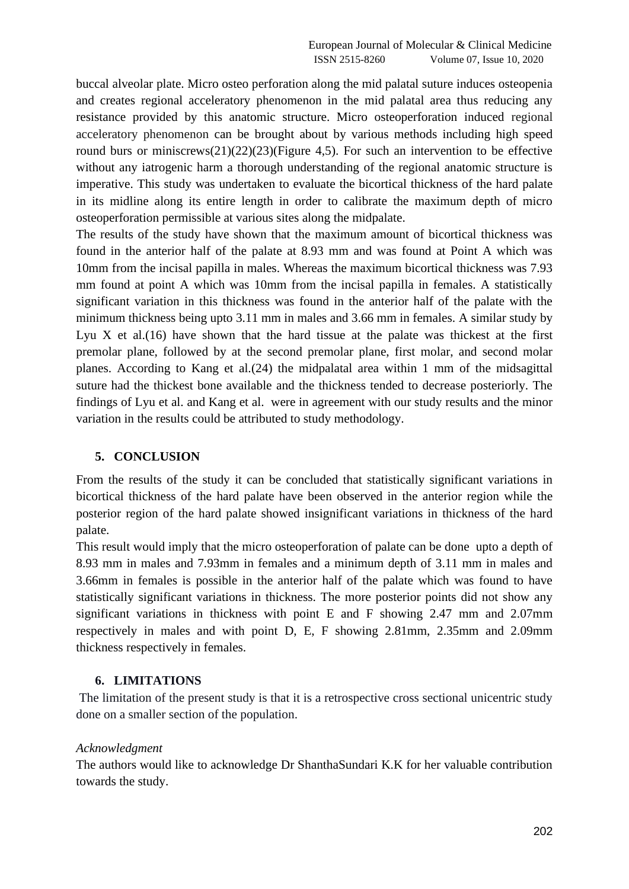buccal alveolar plate. Micro osteo perforation along the mid palatal suture induces osteopenia and creates regional acceleratory phenomenon in the mid palatal area thus reducing any resistance provided by this anatomic structure. Micro osteoperforation induced regional acceleratory phenomenon can be brought about by various methods including high speed round burs or miniscrew[s\(21\)](https://paperpile.com/c/y0stmb/OG8s)[\(22\)](https://paperpile.com/c/y0stmb/VlJs)[\(23\)\(](https://paperpile.com/c/y0stmb/Pgoc)Figure 4,5). For such an intervention to be effective without any iatrogenic harm a thorough understanding of the regional anatomic structure is imperative. This study was undertaken to evaluate the bicortical thickness of the hard palate in its midline along its entire length in order to calibrate the maximum depth of micro osteoperforation permissible at various sites along the midpalate.

The results of the study have shown that the maximum amount of bicortical thickness was found in the anterior half of the palate at 8.93 mm and was found at Point A which was 10mm from the incisal papilla in males. Whereas the maximum bicortical thickness was 7.93 mm found at point A which was 10mm from the incisal papilla in females. A statistically significant variation in this thickness was found in the anterior half of the palate with the minimum thickness being upto 3.11 mm in males and 3.66 mm in females. A similar study by Lyu X et al. $(16)$  have shown that the hard tissue at the palate was thickest at the first premolar plane, followed by at the second premolar plane, first molar, and second molar planes. According to Kang et al[.\(24\)](https://paperpile.com/c/y0stmb/Ja7qa) the midpalatal area within 1 mm of the midsagittal suture had the thickest bone available and the thickness tended to decrease posteriorly. The findings of Lyu et al. and Kang et al. were in agreement with our study results and the minor variation in the results could be attributed to study methodology.

### **5. CONCLUSION**

From the results of the study it can be concluded that statistically significant variations in bicortical thickness of the hard palate have been observed in the anterior region while the posterior region of the hard palate showed insignificant variations in thickness of the hard palate.

This result would imply that the micro osteoperforation of palate can be done upto a depth of 8.93 mm in males and 7.93mm in females and a minimum depth of 3.11 mm in males and 3.66mm in females is possible in the anterior half of the palate which was found to have statistically significant variations in thickness. The more posterior points did not show any significant variations in thickness with point E and F showing 2.47 mm and 2.07mm respectively in males and with point D, E, F showing 2.81mm, 2.35mm and 2.09mm thickness respectively in females.

### **6. LIMITATIONS**

The limitation of the present study is that it is a retrospective cross sectional unicentric study done on a smaller section of the population.

#### *Acknowledgment*

The authors would like to acknowledge Dr ShanthaSundari K.K for her valuable contribution towards the study.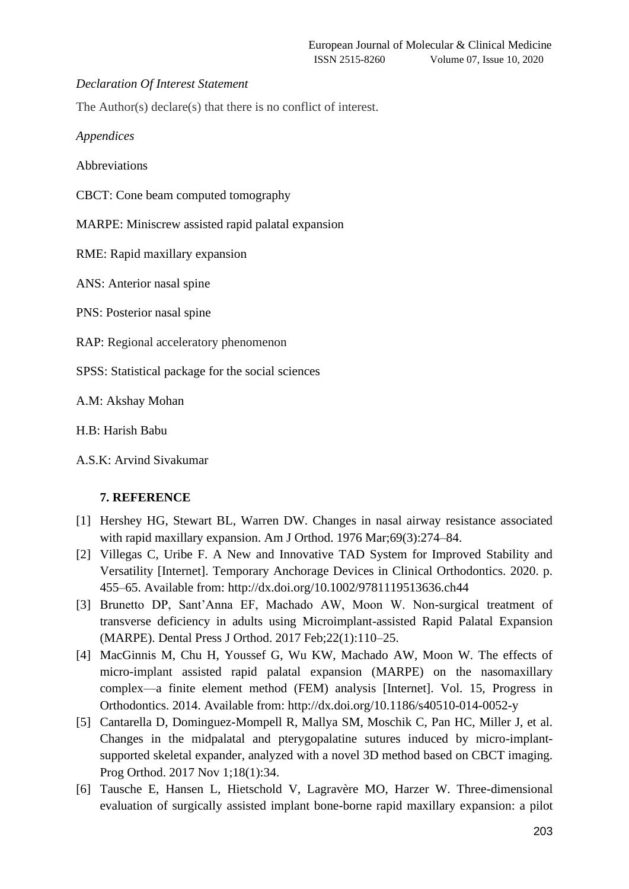#### *Declaration Of Interest Statement*

The Author(s) declare(s) that there is no conflict of interest.

*Appendices*

Abbreviations

CBCT: Cone beam computed tomography

MARPE: Miniscrew assisted rapid palatal expansion

RME: Rapid maxillary expansion

ANS: Anterior nasal spine

PNS: Posterior nasal spine

RAP: Regional acceleratory phenomenon

SPSS: Statistical package for the social sciences

A.M: Akshay Mohan

H.B: Harish Babu

A.S.K: Arvind Sivakumar

### **7. REFERENCE**

- [1] [Hershey HG, Stewart BL, Warren DW. Changes in nasal airway resistance associated](http://paperpile.com/b/y0stmb/pa560)  [with rapid maxillary expansion. Am J Orthod. 1976 Mar;69\(3\):274–84.](http://paperpile.com/b/y0stmb/pa560)
- [2] [Villegas C, Uribe F. A New and Innovative TAD System for Improved Stability and](http://paperpile.com/b/y0stmb/KzboW)  [Versatility \[Internet\]. Temporary Anchorage Devices in Clinical Orthodontics. 2020. p.](http://paperpile.com/b/y0stmb/KzboW)  [455–65. Available from:](http://paperpile.com/b/y0stmb/KzboW) <http://dx.doi.org/10.1002/9781119513636.ch44>
- [3] [Brunetto DP, Sant'Anna EF, Machado AW, Moon W. Non-surgical treatment of](http://paperpile.com/b/y0stmb/4dTAO)  [transverse deficiency in adults using Microimplant-assisted Rapid Palatal Expansion](http://paperpile.com/b/y0stmb/4dTAO) [\(MARPE\). Dental Press J Orthod. 2017 Feb;22\(1\):110–25.](http://paperpile.com/b/y0stmb/4dTAO)
- [4] [MacGinnis M, Chu H, Youssef G, Wu KW, Machado AW, Moon W. The effects of](http://paperpile.com/b/y0stmb/JlqSl)  [micro-implant assisted rapid palatal expansion \(MARPE\) on the nasomaxillary](http://paperpile.com/b/y0stmb/JlqSl)  [complex—a finite element method \(FEM\) analysis \[Internet\]. Vol. 15, Progress in](http://paperpile.com/b/y0stmb/JlqSl)  [Orthodontics. 2014. Available from:](http://paperpile.com/b/y0stmb/JlqSl) <http://dx.doi.org/10.1186/s40510-014-0052-y>
- [5] [Cantarella D, Dominguez-Mompell R, Mallya SM, Moschik C, Pan HC, Miller J, et al.](http://paperpile.com/b/y0stmb/W16uw)  [Changes in the midpalatal and pterygopalatine sutures induced by micro-implant](http://paperpile.com/b/y0stmb/W16uw)[supported skeletal expander, analyzed with a novel 3D method based on CBCT imaging.](http://paperpile.com/b/y0stmb/W16uw)  [Prog Orthod. 2017 Nov 1;18\(1\):34.](http://paperpile.com/b/y0stmb/W16uw)
- [6] [Tausche E, Hansen L, Hietschold V, Lagravère MO, Harzer W. Three-dimensional](http://paperpile.com/b/y0stmb/bOmAP)  [evaluation of surgically assisted implant bone-borne rapid maxillary expansion: a pilot](http://paperpile.com/b/y0stmb/bOmAP)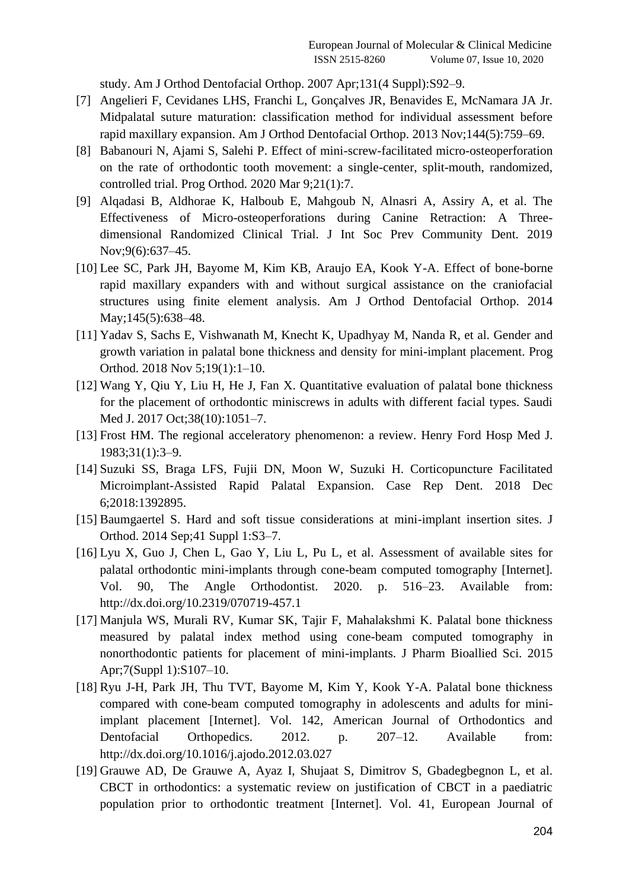[study. Am J Orthod Dentofacial Orthop. 2007 Apr;131\(4 Suppl\):S92–9.](http://paperpile.com/b/y0stmb/bOmAP)

- [7] [Angelieri F, Cevidanes LHS, Franchi L, Gonçalves JR, Benavides E, McNamara JA Jr.](http://paperpile.com/b/y0stmb/foPBu)  [Midpalatal suture maturation: classification method for individual assessment before](http://paperpile.com/b/y0stmb/foPBu)  [rapid maxillary expansion. Am J Orthod Dentofacial Orthop. 2013 Nov;144\(5\):759–69.](http://paperpile.com/b/y0stmb/foPBu)
- [8] [Babanouri N, Ajami S, Salehi P. Effect of mini-screw-facilitated micro-osteoperforation](http://paperpile.com/b/y0stmb/hOGT)  [on the rate of orthodontic tooth movement: a single-center, split-mouth, randomized,](http://paperpile.com/b/y0stmb/hOGT)  [controlled trial. Prog Orthod. 2020 Mar 9;21\(1\):7.](http://paperpile.com/b/y0stmb/hOGT)
- [9] [Alqadasi B, Aldhorae K, Halboub E, Mahgoub N, Alnasri A, Assiry A, et al. The](http://paperpile.com/b/y0stmb/ljG5o)  [Effectiveness of Micro-osteoperforations during Canine Retraction: A Three](http://paperpile.com/b/y0stmb/ljG5o)[dimensional Randomized Clinical Trial. J Int Soc Prev Community Dent. 2019](http://paperpile.com/b/y0stmb/ljG5o)  [Nov;9\(6\):637–45.](http://paperpile.com/b/y0stmb/ljG5o)
- [10] [Lee SC, Park JH, Bayome M, Kim KB, Araujo EA, Kook Y-A. Effect of bone-borne](http://paperpile.com/b/y0stmb/Ob2w)  [rapid maxillary expanders with and without surgical assistance on the craniofacial](http://paperpile.com/b/y0stmb/Ob2w)  [structures using finite element analysis. Am J Orthod Dentofacial Orthop. 2014](http://paperpile.com/b/y0stmb/Ob2w)  May:145(5):638-48.
- [11] [Yadav S, Sachs E, Vishwanath M, Knecht K, Upadhyay M, Nanda R, et al. Gender and](http://paperpile.com/b/y0stmb/nf57)  [growth variation in palatal bone thickness and density for mini-implant placement. Prog](http://paperpile.com/b/y0stmb/nf57)  [Orthod. 2018 Nov 5;19\(1\):1–10.](http://paperpile.com/b/y0stmb/nf57)
- [12] [Wang Y, Qiu Y, Liu H, He J, Fan X. Quantitative evaluation of palatal bone thickness](http://paperpile.com/b/y0stmb/hmXm)  [for the placement of orthodontic miniscrews in adults with different facial types. Saudi](http://paperpile.com/b/y0stmb/hmXm)  [Med J. 2017 Oct;38\(10\):1051–7.](http://paperpile.com/b/y0stmb/hmXm)
- [13] [Frost HM. The regional acceleratory phenomenon: a review.](http://paperpile.com/b/y0stmb/R2cW) Henry Ford Hosp Med J. [1983;31\(1\):3–9.](http://paperpile.com/b/y0stmb/R2cW)
- [14] [Suzuki SS, Braga LFS, Fujii DN, Moon W, Suzuki H. Corticopuncture Facilitated](http://paperpile.com/b/y0stmb/UG9l)  [Microimplant-Assisted Rapid Palatal Expansion. Case Rep Dent. 2018 Dec](http://paperpile.com/b/y0stmb/UG9l)  [6;2018:1392895.](http://paperpile.com/b/y0stmb/UG9l)
- [15] [Baumgaertel S. Hard and soft tissue considerations at mini-implant insertion sites. J](http://paperpile.com/b/y0stmb/r3Gp)  [Orthod. 2014 Sep;41 Suppl 1:S3–7.](http://paperpile.com/b/y0stmb/r3Gp)
- [16] Lyu X, Guo J, Chen L, Gao Y, Liu L, Pu L, et al. Assessment of available sites for [palatal orthodontic mini-implants through cone-beam computed tomography \[Internet\].](http://paperpile.com/b/y0stmb/QgL5C)  [Vol. 90, The Angle Orthodontist. 2020. p. 516–23. Available from:](http://paperpile.com/b/y0stmb/QgL5C)  <http://dx.doi.org/10.2319/070719-457.1>
- [17] [Manjula WS, Murali RV, Kumar SK, Tajir F, Mahalakshmi K. Palatal bone thickness](http://paperpile.com/b/y0stmb/MRbv)  [measured by palatal index method using cone-beam computed tomography in](http://paperpile.com/b/y0stmb/MRbv)  [nonorthodontic patients for placement of mini-implants. J Pharm Bioallied Sci. 2015](http://paperpile.com/b/y0stmb/MRbv)  [Apr;7\(Suppl 1\):S107–10.](http://paperpile.com/b/y0stmb/MRbv)
- [18] [Ryu J-H, Park JH, Thu TVT, Bayome M, Kim Y, Kook Y-A. Palatal bone thickness](http://paperpile.com/b/y0stmb/ezhs)  [compared with cone-beam computed tomography in adolescents and adults for mini](http://paperpile.com/b/y0stmb/ezhs)[implant placement \[Internet\]. Vol. 142, American Journal of Orthodontics and](http://paperpile.com/b/y0stmb/ezhs)  [Dentofacial Orthopedics. 2012. p. 207–12. Available from:](http://paperpile.com/b/y0stmb/ezhs)  <http://dx.doi.org/10.1016/j.ajodo.2012.03.027>
- [19] [Grauwe AD, De Grauwe A, Ayaz I, Shujaat S, Dimitrov S, Gbadegbegnon L, et al.](http://paperpile.com/b/y0stmb/Mvq4T)  [CBCT in orthodontics: a systematic review on justification of CBCT in a paediatric](http://paperpile.com/b/y0stmb/Mvq4T)  [population prior to orthodontic treatment \[Internet\]. Vol. 41, European Journal of](http://paperpile.com/b/y0stmb/Mvq4T)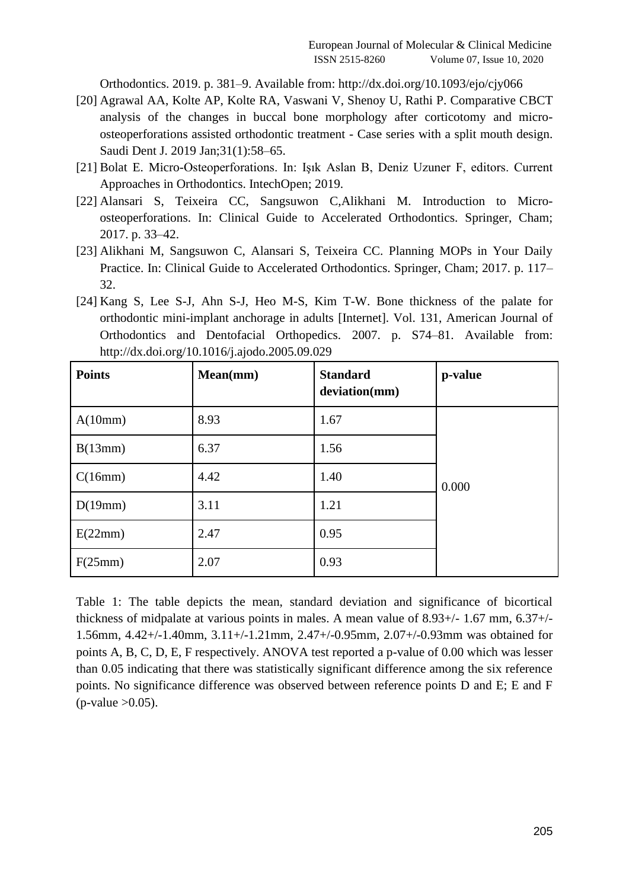[Orthodontics. 2019. p. 381–9. Available from:](http://paperpile.com/b/y0stmb/Mvq4T) <http://dx.doi.org/10.1093/ejo/cjy066>

- [20] [Agrawal AA, Kolte AP, Kolte RA, Vaswani V, Shenoy U, Rathi P. Comparative CBCT](http://paperpile.com/b/y0stmb/wlYl)  [analysis of the changes in buccal bone morphology after corticotomy and micro](http://paperpile.com/b/y0stmb/wlYl)[osteoperforations assisted orthodontic treatment -](http://paperpile.com/b/y0stmb/wlYl) Case series with a split mouth design. [Saudi Dent J. 2019 Jan;31\(1\):58–65.](http://paperpile.com/b/y0stmb/wlYl)
- [21] [Bolat E. Micro-Osteoperforations. In: Işık Aslan B, Deniz Uzuner F, editors. Current](http://paperpile.com/b/y0stmb/OG8s)  [Approaches in Orthodontics. IntechOpen; 2019.](http://paperpile.com/b/y0stmb/OG8s)
- [22] [Alansari S, Teixeira CC, Sangsuwon C,Alikhani M. Introduction to Micro](http://paperpile.com/b/y0stmb/VlJs)[osteoperforations. In: Clinical Guide to Accelerated Orthodontics. Springer, Cham;](http://paperpile.com/b/y0stmb/VlJs)  [2017. p. 33–42.](http://paperpile.com/b/y0stmb/VlJs)
- [23] [Alikhani M, Sangsuwon C, Alansari S, Teixeira CC. Planning MOPs in Your Daily](http://paperpile.com/b/y0stmb/Pgoc)  [Practice. In: Clinical Guide to Accelerated Orthodontics. Springer, Cham; 2017. p. 117–](http://paperpile.com/b/y0stmb/Pgoc) [32.](http://paperpile.com/b/y0stmb/Pgoc)
- [24] [Kang S, Lee S-J, Ahn S-J, Heo M-S, Kim T-W. Bone thickness of the palate for](http://paperpile.com/b/y0stmb/Ja7qa)  [orthodontic mini-implant anchorage in adults \[Internet\]. Vol. 131, American Journal of](http://paperpile.com/b/y0stmb/Ja7qa)  [Orthodontics and Dentofacial Orthopedics. 2007. p. S74–81. Available from:](http://paperpile.com/b/y0stmb/Ja7qa)  <http://dx.doi.org/10.1016/j.ajodo.2005.09.029>

| <b>Points</b> | Mean(mm) | <b>Standard</b><br>deviation(mm) | p-value |
|---------------|----------|----------------------------------|---------|
| A(10mm)       | 8.93     | 1.67                             |         |
| B(13mm)       | 6.37     | 1.56                             |         |
| C(16mm)       | 4.42     | 1.40                             | 0.000   |
| D(19mm)       | 3.11     | 1.21                             |         |
| E(22mm)       | 2.47     | 0.95                             |         |
| F(25mm)       | 2.07     | 0.93                             |         |

Table 1: The table depicts the mean, standard deviation and significance of bicortical thickness of midpalate at various points in males. A mean value of 8.93+/- 1.67 mm, 6.37+/- 1.56mm, 4.42+/-1.40mm, 3.11+/-1.21mm, 2.47+/-0.95mm, 2.07+/-0.93mm was obtained for points A, B, C, D, E, F respectively. ANOVA test reported a p-value of 0.00 which was lesser than 0.05 indicating that there was statistically significant difference among the six reference points. No significance difference was observed between reference points D and E; E and F  $(p-value > 0.05)$ .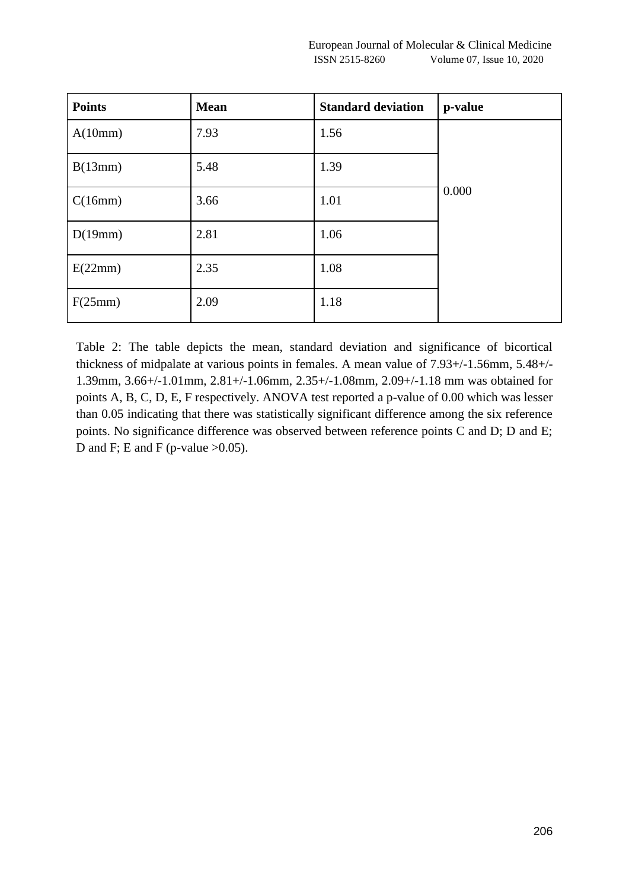| <b>Points</b> | <b>Mean</b> | <b>Standard deviation</b> | p-value |
|---------------|-------------|---------------------------|---------|
| A(10mm)       | 7.93        | 1.56                      |         |
| B(13mm)       | 5.48        | 1.39                      |         |
| C(16mm)       | 3.66        | 1.01                      | 0.000   |
| D(19mm)       | 2.81        | 1.06                      |         |
| E(22mm)       | 2.35        | 1.08                      |         |
| F(25mm)       | 2.09        | 1.18                      |         |

Table 2: The table depicts the mean, standard deviation and significance of bicortical thickness of midpalate at various points in females. A mean value of 7.93+/-1.56mm, 5.48+/- 1.39mm, 3.66+/-1.01mm, 2.81+/-1.06mm, 2.35+/-1.08mm, 2.09+/-1.18 mm was obtained for points A, B, C, D, E, F respectively. ANOVA test reported a p-value of 0.00 which was lesser than 0.05 indicating that there was statistically significant difference among the six reference points. No significance difference was observed between reference points C and D; D and E; D and F; E and F (p-value  $>0.05$ ).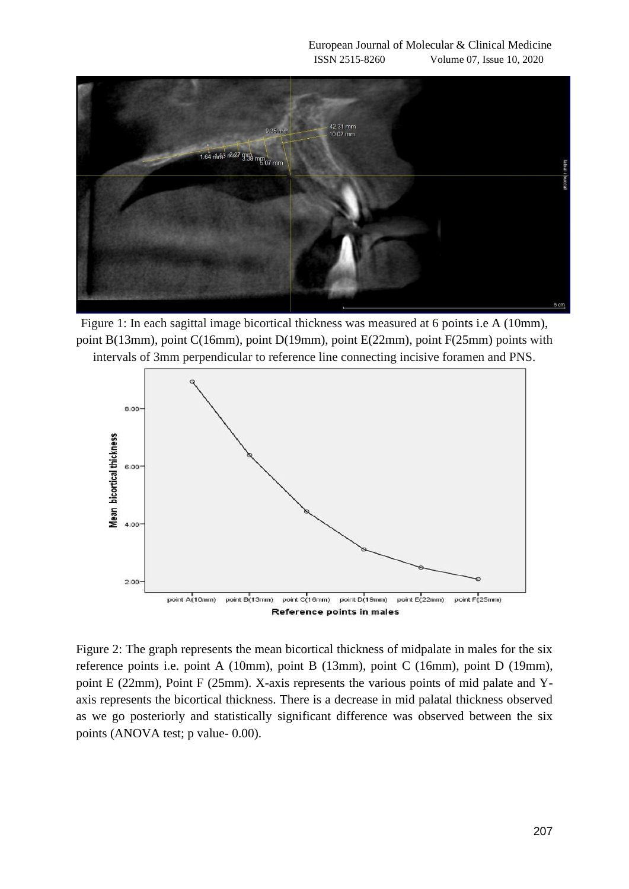

Figure 1: In each sagittal image bicortical thickness was measured at 6 points i.e A (10mm), point B(13mm), point C(16mm), point D(19mm), point E(22mm), point F(25mm) points with intervals of 3mm perpendicular to reference line connecting incisive foramen and PNS.



Figure 2: The graph represents the mean bicortical thickness of midpalate in males for the six reference points i.e. point A (10mm), point B (13mm), point C (16mm), point D (19mm), point E (22mm), Point F (25mm). X-axis represents the various points of mid palate and Yaxis represents the bicortical thickness. There is a decrease in mid palatal thickness observed as we go posteriorly and statistically significant difference was observed between the six points (ANOVA test; p value- 0.00).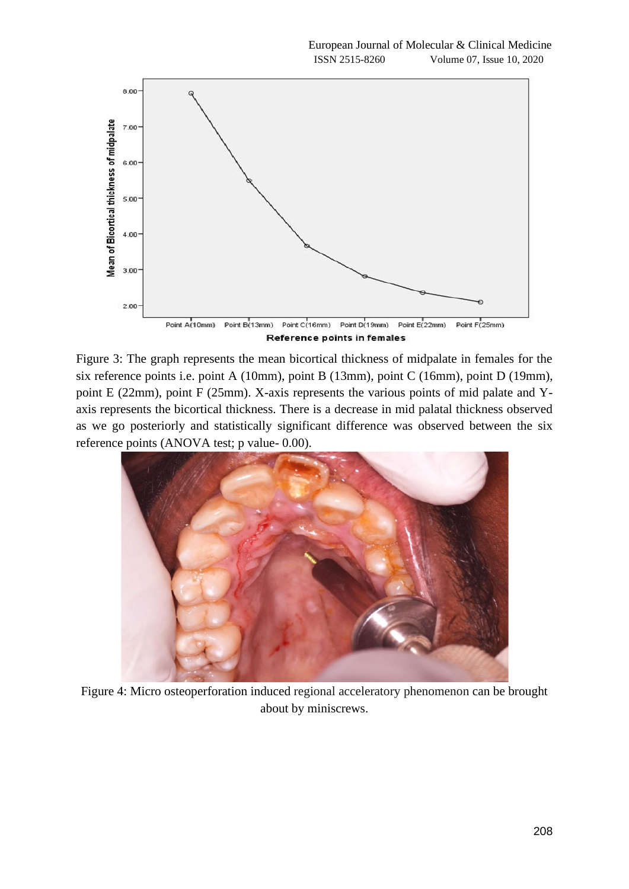

Figure 3: The graph represents the mean bicortical thickness of midpalate in females for the six reference points i.e. point A (10mm), point B (13mm), point C (16mm), point D (19mm), point E (22mm), point F (25mm). X-axis represents the various points of mid palate and Yaxis represents the bicortical thickness. There is a decrease in mid palatal thickness observed as we go posteriorly and statistically significant difference was observed between the six reference points (ANOVA test; p value- 0.00).



Figure 4: Micro osteoperforation induced regional acceleratory phenomenon can be brought about by miniscrews.